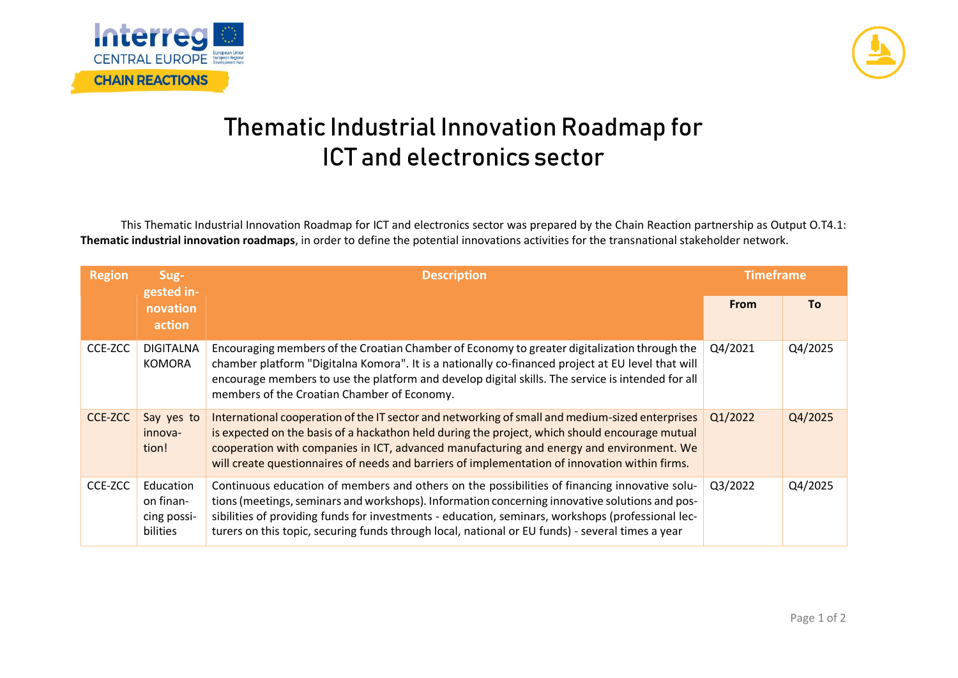



## **Thematic Industrial Innovation Roadmap for ICT and electronics sector**

This Thematic Industrial Innovation Roadmap for ICT and electronics sector was prepared by the Chain Reaction partnership as Output O.T4.1: **Thematic industrial innovation roadmaps**, in order to define the potential innovations activities for the transnational stakeholder network.

| <b>Region</b>  | Sug-<br>gested in-<br>novation<br>action          | <b>Description</b>                                                                                                                                                                                                                                                                                                                                                                                       | <b>Timeframe</b> |         |
|----------------|---------------------------------------------------|----------------------------------------------------------------------------------------------------------------------------------------------------------------------------------------------------------------------------------------------------------------------------------------------------------------------------------------------------------------------------------------------------------|------------------|---------|
|                |                                                   |                                                                                                                                                                                                                                                                                                                                                                                                          | <b>From</b>      | To:     |
| CCE-ZCC        | <b>DIGITALNA</b><br><b>KOMORA</b>                 | Encouraging members of the Croatian Chamber of Economy to greater digitalization through the<br>chamber platform "Digitalna Komora". It is a nationally co-financed project at EU level that will<br>encourage members to use the platform and develop digital skills. The service is intended for all<br>members of the Croatian Chamber of Economy.                                                    | Q4/2021          | Q4/2025 |
| <b>CCE-ZCC</b> | Say yes to<br>innova-<br>tion!                    | International cooperation of the IT sector and networking of small and medium-sized enterprises<br>is expected on the basis of a hackathon held during the project, which should encourage mutual<br>cooperation with companies in ICT, advanced manufacturing and energy and environment. We<br>will create questionnaires of needs and barriers of implementation of innovation within firms.          | Q1/2022          | Q4/2025 |
| CCE-ZCC        | Education<br>on finan-<br>cing possi-<br>bilities | Continuous education of members and others on the possibilities of financing innovative solu-<br>tions (meetings, seminars and workshops). Information concerning innovative solutions and pos-<br>sibilities of providing funds for investments - education, seminars, workshops (professional lec-<br>turers on this topic, securing funds through local, national or EU funds) - several times a year | Q3/2022          | Q4/2025 |